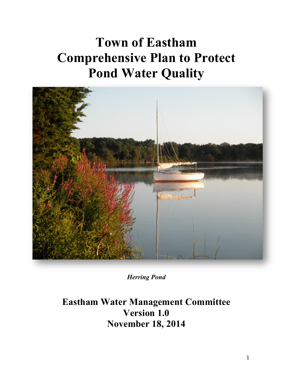# **Town of Eastham Comprehensive Plan to Protect Pond Water Quality**



*Herring Pond*

**Eastham Water Management Committee Version 1.0 November 18, 2014**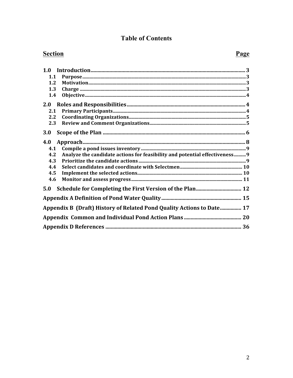#### **Table of Contents**

# **Section**

| 1.1 |                                                                            |
|-----|----------------------------------------------------------------------------|
| 1.2 |                                                                            |
| 1.3 |                                                                            |
| 1.4 |                                                                            |
| 2.0 |                                                                            |
| 2.1 |                                                                            |
| 2.2 |                                                                            |
| 2.3 |                                                                            |
| 3.0 |                                                                            |
| 4.0 |                                                                            |
| 4.1 |                                                                            |
| 4.2 | Analyze the candidate actions for feasibility and potential effectiveness9 |
| 4.3 |                                                                            |
| 4.4 |                                                                            |
| 4.5 |                                                                            |
| 4.6 |                                                                            |
| 5.0 |                                                                            |
|     |                                                                            |
|     | Appendix B (Draft) History of Related Pond Quality Actions to Date 17      |
|     |                                                                            |
|     |                                                                            |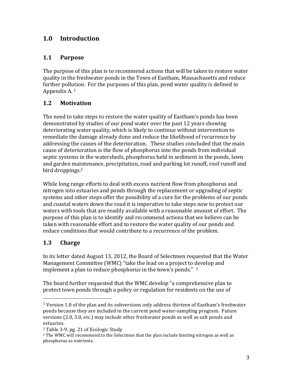#### **1.0 Introduction**

#### **1.1 Purpose**

The purpose of this plan is to recommend actions that will be taken to restore water quality in the freshwater ponds in the Town of Eastham, Massachusetts and reduce further pollution. For the purposes of this plan, pond water quality is defined in Appendix A.  $1$ 

#### **1.2 Motivation**

The need to take steps to restore the water quality of Eastham's ponds has been demonstrated by studies of our pond water over the past 12 years showing deteriorating water quality, which is likely to continue without intervention to remediate the damage already done and reduce the likelihood of recurrence by addressing the causes of the deterioration. These studies concluded that the main cause of deterioration is the flow of phosphorus into the ponds from individual septic systems in the watersheds, phosphorus held in sediment in the ponds, lawn and garden maintenance, precipitation, road and parking lot runoff, roof runoff and bird droppings.<sup>2</sup>

While long range efforts to deal with excess nutrient flow from phosphorus and nitrogen into estuaries and ponds through the replacement or upgrading of septic systems and other steps offer the possibility of a cure for the problems of our ponds and coastal waters down the road it is imperative to take steps now to protect our waters with tools that are readily available with a reasonable amount of effort. The purpose of this plan is to identify and recommend actions that we believe can be taken with reasonable effort and to restore the water quality of our ponds and reduce conditions that would contribute to a recurrence of the problem.

#### **1.3 Charge**

In its letter dated August 13, 2012, the Board of Selectmen requested that the Water Management Committee (WMC) "take the lead on a project to develop and implement a plan to reduce phosphorus in the town's ponds."  $3$ 

The board further requested that the WMC develop "a comprehensive plan to protect town ponds through a policy or regulation for residents on the use of

 

 $1$  Version 1.0 of the plan and its subversions only address thirteen of Eastham's freshwater ponds because they are included in the current pond water-sampling program. Future versions (2.0, 3.0, etc.) may include other freshwater ponds as well as salt ponds and estuaries.

<sup>&</sup>lt;sup>2</sup> Table 3-9, pg. 21 of Ecologic Study

 $3$  The WMC will recommend to the Selectmen that the plan include limiting nitrogen as well as phosphorus as nutrients.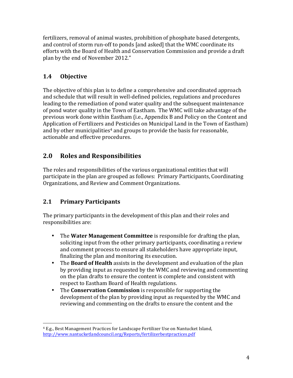fertilizers, removal of animal wastes, prohibition of phosphate based detergents, and control of storm run-off to ponds [and asked] that the WMC coordinate its efforts with the Board of Health and Conservation Commission and provide a draft plan by the end of November 2012."

# **1.4 Objective**

The objective of this plan is to define a comprehensive and coordinated approach and schedule that will result in well-defined policies, regulations and procedures leading to the remediation of pond water quality and the subsequent maintenance of pond water quality in the Town of Eastham. The WMC will take advantage of the previous work done within Eastham (i.e., Appendix B and Policy on the Content and Application of Fertilizers and Pesticides on Municipal Land in the Town of Eastham) and by other municipalities<sup>4</sup> and groups to provide the basis for reasonable, actionable and effective procedures.

# **2.0 Roles and Responsibilities**

The roles and responsibilities of the various organizational entities that will participate in the plan are grouped as follows: Primary Participants, Coordinating Organizations, and Review and Comment Organizations.

#### **2.1 Primary Participants**

The primary participants in the development of this plan and their roles and responsibilities are:

- The **Water Management Committee** is responsible for drafting the plan, soliciting input from the other primary participants, coordinating a review and comment process to ensure all stakeholders have appropriate input, finalizing the plan and monitoring its execution.
- The **Board of Health** assists in the development and evaluation of the plan by providing input as requested by the WMC and reviewing and commenting on the plan drafts to ensure the content is complete and consistent with respect to Eastham Board of Health regulations.
- The **Conservation Commission** is responsible for supporting the development of the plan by providing input as requested by the WMC and reviewing and commenting on the drafts to ensure the content and the

 <sup>4</sup> E.g., Best Management Practices for Landscape Fertilizer Use on Nantucket Island, http://www.nantucketlandcouncil.org/Reports/fertilizerbestpractices.pdf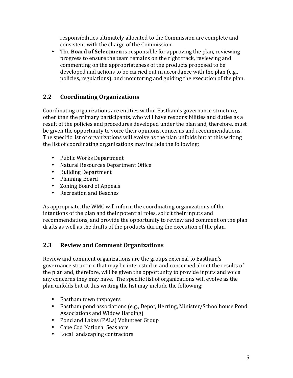responsibilities ultimately allocated to the Commission are complete and consistent with the charge of the Commission.

• The **Board of Selectmen** is responsible for approving the plan, reviewing progress to ensure the team remains on the right track, reviewing and commenting on the appropriateness of the products proposed to be developed and actions to be carried out in accordance with the plan (e.g., policies, regulations), and monitoring and guiding the execution of the plan.

## **2.2 Coordinating Organizations**

Coordinating organizations are entities within Eastham's governance structure, other than the primary participants, who will have responsibilities and duties as a result of the policies and procedures developed under the plan and, therefore, must be given the opportunity to voice their opinions, concerns and recommendations. The specific list of organizations will evolve as the plan unfolds but at this writing the list of coordinating organizations may include the following:

- Public Works Department
- Natural Resources Department Office
- Building Department
- Planning Board
- Zoning Board of Appeals
- Recreation and Beaches

As appropriate, the WMC will inform the coordinating organizations of the intentions of the plan and their potential roles, solicit their inputs and recommendations, and provide the opportunity to review and comment on the plan drafts as well as the drafts of the products during the execution of the plan.

#### **2.3 Review and Comment Organizations**

Review and comment organizations are the groups external to Eastham's governance structure that may be interested in and concerned about the results of the plan and, therefore, will be given the opportunity to provide inputs and voice any concerns they may have. The specific list of organizations will evolve as the plan unfolds but at this writing the list may include the following:

- Eastham town taxpayers
- Eastham pond associations (e.g., Depot, Herring, Minister/Schoolhouse Pond Associations and Widow Harding)
- Pond and Lakes (PALs) Volunteer Group
- Cape Cod National Seashore
- Local landscaping contractors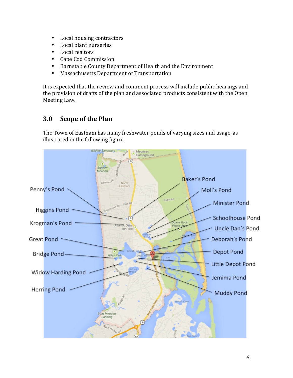- Local housing contractors
- Local plant nurseries
- Local realtors
- Cape Cod Commission
- Barnstable County Department of Health and the Environment
- Massachusetts Department of Transportation

It is expected that the review and comment process will include public hearings and the provision of drafts of the plan and associated products consistent with the Open Meeting Law.

# **3.0 Scope of the Plan**

The Town of Eastham has many freshwater ponds of varying sizes and usage, as illustrated in the following figure.

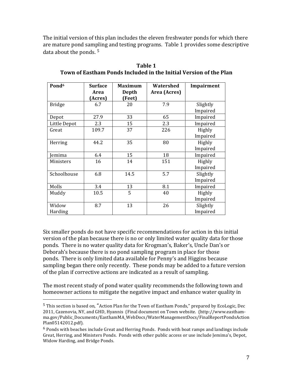The initial version of this plan includes the eleven freshwater ponds for which there are mature pond sampling and testing programs. Table 1 provides some descriptive data about the ponds.  $5$ 

| Pond <sup>6</sup> | <b>Surface</b> | Maximum | Watershed    | Impairment |
|-------------------|----------------|---------|--------------|------------|
|                   | Area           | Depth   | Area (Acres) |            |
|                   | (Acres)        | (Feet)  |              |            |
| <b>Bridge</b>     | 6.7            | 20      | 7.9          | Slightly   |
|                   |                |         |              | Impaired   |
| Depot             | 27.9           | 33      | 65           | Impaired   |
| Little Depot      | 2.3            | 15      | 2.3          | Impaired   |
| Great             | 109.7          | 37      | 226          | Highly     |
|                   |                |         |              | Impaired   |
| Herring           | 44.2           | 35      | 80           | Highly     |
|                   |                |         |              | Impaired   |
| emima             | 6.4            | 15      | 18           | Impaired   |
| Ministers         | 16             | 14      | 151          | Highly     |
|                   |                |         |              | Impaired   |
| Schoolhouse       | 6.8            | 14.5    | 5.7          | Slightly   |
|                   |                |         |              | Impaired   |
| Molls             | 3.4            | 13      | 8.1          | Impaired   |
| Muddy             | 10.5           | 5       | 40           | Highly     |
|                   |                |         |              | Impaired   |
| Widow             | 8.7            | 13      | 26           | Slightly   |
| Harding           |                |         |              | Impaired   |

**Table 1 Town of Eastham Ponds Included in the Initial Version of the Plan** 

Six smaller ponds do not have specific recommendations for action in this initial version of the plan because there is no or only limited water quality data for those ponds. There is no water quality data for Krogman's, Baker's, Uncle Dan's or Deborah's because there is no pond sampling program in place for those ponds. There is only limited data available for Penny's and Higgins because sampling began there only recently. These ponds may be added to a future version of the plan if corrective actions are indicated as a result of sampling.

The most recent study of pond water quality recommends the following town and homeowner actions to mitigate the negative impact and enhance water quality in

 

 $5$  This section is based on, "Action Plan for the Town of Eastham Ponds," prepared by EcoLogic, Dec 2011, Cazenovia, NY, and GHD, Hyannis (Final document on Town website. (http://www.easthamma.gov/Public\_Documents/EasthamMA\_WebDocs/WaterManagementDocs/FinalReportPondsAction Plan05142012.pdf). 

 $6$  Ponds with beaches include Great and Herring Ponds. Ponds with boat ramps and landings include Great, Herring, and Ministers Ponds. Ponds with other public access or use include Jemima's, Depot, Widow Harding, and Bridge Ponds.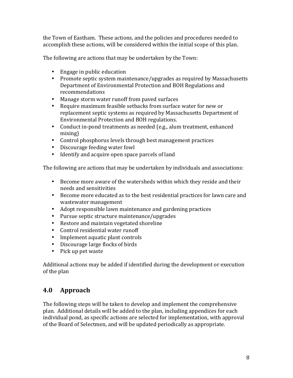the Town of Eastham. These actions, and the policies and procedures needed to accomplish these actions, will be considered within the initial scope of this plan.

The following are actions that may be undertaken by the Town:

- Engage in public education
- Promote septic system maintenance/upgrades as required by Massachusetts Department of Environmental Protection and BOH Regulations and recommendations
- Manage storm water runoff from paved surfaces
- Require maximum feasible setbacks from surface water for new or replacement septic systems as required by Massachusetts Department of Environmental Protection and BOH regulations.
- Conduct in-pond treatments as needed (e.g., alum treatment, enhanced mixing)
- Control phosphorus levels through best management practices
- Discourage feeding water fowl
- Identify and acquire open space parcels of land

The following are actions that may be undertaken by individuals and associations:

- Become more aware of the watersheds within which they reside and their needs and sensitivities
- Become more educated as to the best residential practices for lawn care and wastewater management
- Adopt responsible lawn maintenance and gardening practices
- Pursue septic structure maintenance/upgrades
- Restore and maintain vegetated shoreline
- Control residential water runoff
- Implement aquatic plant controls
- Discourage large flocks of birds
- Pick up pet waste

Additional actions may be added if identified during the development or execution of the plan

# **4.0 Approach**

The following steps will be taken to develop and implement the comprehensive plan. Additional details will be added to the plan, including appendices for each individual pond, as specific actions are selected for implementation, with approval of the Board of Selectmen, and will be updated periodically as appropriate.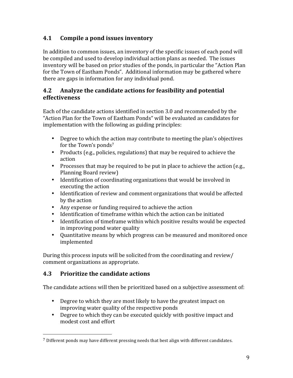#### **4.1 Compile a pond issues inventory**

In addition to common issues, an inventory of the specific issues of each pond will be compiled and used to develop individual action plans as needed. The issues inventory will be based on prior studies of the ponds, in particular the "Action Plan for the Town of Eastham Ponds". Additional information may be gathered where there are gaps in information for any individual pond.

#### **4.2** Analyze the candidate actions for feasibility and potential **effectiveness**

Each of the candidate actions identified in section 3.0 and recommended by the "Action Plan for the Town of Eastham Ponds" will be evaluated as candidates for implementation with the following as guiding principles:

- Degree to which the action may contribute to meeting the plan's objectives for the Town's ponds<sup>7</sup>
- Products (e.g., policies, regulations) that may be required to achieve the action
- Processes that may be required to be put in place to achieve the action  $(e.g.,)$ Planning Board review)
- Identification of coordinating organizations that would be involved in executing the action
- Identification of review and comment organizations that would be affected by the action
- Any expense or funding required to achieve the action
- Identification of timeframe within which the action can be initiated
- Identification of timeframe within which positive results would be expected in improving pond water quality
- Quantitative means by which progress can be measured and monitored once implemented

During this process inputs will be solicited from the coordinating and review/ comment organizations as appropriate.

#### **4.3 Prioritize the candidate actions**

 

The candidate actions will then be prioritized based on a subjective assessment of:

- Degree to which they are most likely to have the greatest impact on improving water quality of the respective ponds
- Degree to which they can be executed quickly with positive impact and modest cost and effort

 $7$  Different ponds may have different pressing needs that best align with different candidates.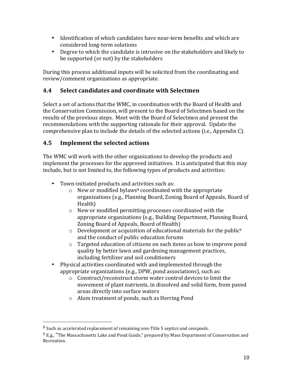- Identification of which candidates have near-term benefits and which are considered long-term solutions
- Degree to which the candidate is intrusive on the stakeholders and likely to be supported (or not) by the stakeholders

During this process additional inputs will be solicited from the coordinating and review/comment organizations as appropriate.

#### **4.4 Select candidates and coordinate with Selectmen**

Select a set of actions that the WMC, in coordination with the Board of Health and the Conservation Commission, will present to the Board of Selectmen based on the results of the previous steps. Meet with the Board of Selectmen and present the recommendations with the supporting rationale for their approval. Update the comprehensive plan to include the details of the selected actions (i.e., Appendix C).

#### **4.5** Implement the selected actions

The WMC will work with the other organizations to develop the products and implement the processes for the approved initiatives. It is anticipated that this may include, but is not limited to, the following types of products and activities:

- Town-initiated products and activities such as:
	- $\circ$  New or modified bylaws<sup>8</sup> coordinated with the appropriate organizations (e.g., Planning Board, Zoning Board of Appeals, Board of Health)
	- $\circ$  New or modified permitting processes coordinated with the appropriate organizations (e.g., Building Department, Planning Board, Zoning Board of Appeals, Board of Health)
	- $\circ$  Development or acquisition of educational materials for the public<sup>9</sup> and the conduct of public education forums
	- $\circ$  Targeted education of citizens on such items as how to improve pond quality by better lawn and gardening management practices, including fertilizer and soil conditioners
- Physical activities coordinated with and implemented through the appropriate organizations (e.g., DPW, pond associations), such as:
	- $\circ$  Construct/reconstruct storm water control devices to limit the movement of plant nutrients, in dissolved and solid form, from paved areas directly into surface waters
	- $\circ$  Alum treatment of ponds, such as Herring Pond

 

 $8$  Such as accelerated replacement of remaining non-Title 5 septics and cesspools.

 $9$  E.g., "The Massachusetts Lake and Pond Guide," prepared by Mass Department of Conservation and Recreation.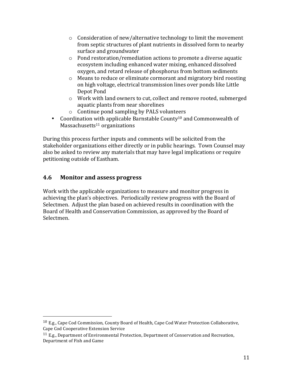- $\circ$  Consideration of new/alternative technology to limit the movement from septic structures of plant nutrients in dissolved form to nearby surface and groundwater
- $\circ$  Pond restoration/remediation actions to promote a diverse aquatic ecosystem including enhanced water mixing, enhanced dissolved oxygen, and retard release of phosphorus from bottom sediments
- $\circ$  Means to reduce or eliminate cormorant and migratory bird roosting on high voltage, electrical transmission lines over ponds like Little Depot Pond
- $\circ$  Work with land owners to cut, collect and remove rooted, submerged aquatic plants from near shorelines
- $\circ$  Continue pond sampling by PALS volunteers
- Coordination with applicable Barnstable County<sup>10</sup> and Commonwealth of  $Massachusetts<sup>11</sup> organizations$

During this process further inputs and comments will be solicited from the stakeholder organizations either directly or in public hearings. Town Counsel may also be asked to review any materials that may have legal implications or require petitioning outside of Eastham.

#### **4.6 Monitor and assess progress**

 

Work with the applicable organizations to measure and monitor progress in achieving the plan's objectives. Periodically review progress with the Board of Selectmen. Adjust the plan based on achieved results in coordination with the Board of Health and Conservation Commission, as approved by the Board of Selectmen.

 $10$  E.g., Cape Cod Commission, County Board of Health, Cape Cod Water Protection Collaborative, Cape Cod Cooperative Extension Service

 $11$  E.g., Department of Environmental Protection, Department of Conservation and Recreation, Department of Fish and Game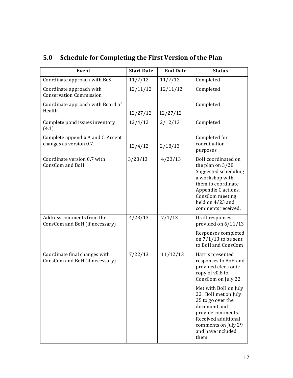| <b>Event</b>                                                    | <b>Start Date</b> | <b>End Date</b> | <b>Status</b>                                                                                                                                                                                   |
|-----------------------------------------------------------------|-------------------|-----------------|-------------------------------------------------------------------------------------------------------------------------------------------------------------------------------------------------|
| Coordinate approach with BoS                                    | 11/7/12           | 11/7/12         | Completed                                                                                                                                                                                       |
| Coordinate approach with<br><b>Conservation Commission</b>      | 12/11/12          | 12/11/12        | Completed                                                                                                                                                                                       |
| Coordinate approach with Board of<br>Health                     | 12/27/12          | 12/27/12        | Completed                                                                                                                                                                                       |
| Complete pond issues inventory<br>(4.1)                         | 12/4/12           | 2/12/13         | Completed                                                                                                                                                                                       |
| Complete appendix A and C. Accept<br>changes as version 0.7.    | 12/4/12           | 2/18/13         | Completed for<br>coordination<br>purposes                                                                                                                                                       |
| Coordinate version 0.7 with<br><b>ConsCom and BoH</b>           | 3/28/13           | 4/23/13         | BoH coordinated on<br>the plan on $3/28$ .<br>Suggested scheduling<br>a workshop with<br>them to coordinate<br>Appendix C actions.<br>ConsCom meeting<br>held on 4/23 and<br>comments received. |
| Address comments from the<br>ConsCom and BoH (if necessary)     | 4/23/13           | 7/1/13          | Draft responses<br>provided on 6/11/13                                                                                                                                                          |
|                                                                 |                   |                 | Responses completed<br>on $7/1/13$ to be sent<br>to BoH and ConsCom                                                                                                                             |
| Coordinate final changes with<br>ConsCom and BoH (if necessary) | 7/22/13           | 11/12/13        | Harris presented<br>responses to BoH and<br>provided electronic<br>copy of v0.8 to<br>ConsCom on July 22.                                                                                       |
|                                                                 |                   |                 | Met with BoH on July<br>22. BoH met on July<br>25 to go over the<br>document and<br>provide comments.<br>Received additional<br>comments on July 29<br>and have included<br>them.               |

# **5.0 Schedule for Completing the First Version of the Plan**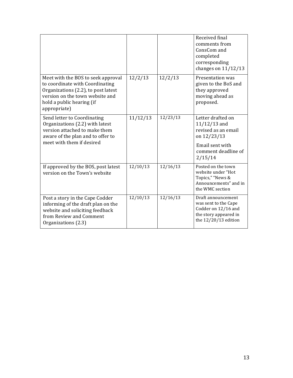|                                                                                                                                                                                              |          |          | Received final<br>comments from<br>ConsCom and<br>completed<br>corresponding<br>changes on $11/12/13$                          |
|----------------------------------------------------------------------------------------------------------------------------------------------------------------------------------------------|----------|----------|--------------------------------------------------------------------------------------------------------------------------------|
| Meet with the BOS to seek approval<br>to coordinate with Coordinating<br>Organizations (2.2), to post latest<br>version on the town website and<br>hold a public hearing (if<br>appropriate) | 12/2/13  | 12/2/13  | Presentation was<br>given to the BoS and<br>they approved<br>moving ahead as<br>proposed.                                      |
| Send letter to Coordinating<br>Organizations (2.2) with latest<br>version attached to make them<br>aware of the plan and to offer to<br>meet with them if desired                            | 11/12/13 | 12/23/13 | Letter drafted on<br>$11/12/13$ and<br>revised as an email<br>on 12/23/13<br>Email sent with<br>comment deadline of<br>2/15/14 |
| If approved by the BOS, post latest<br>version on the Town's website                                                                                                                         | 12/10/13 | 12/16/13 | Posted on the town<br>website under "Hot<br>Topics," "News &<br>Announcements" and in<br>the WMC section                       |
| Post a story in the Cape Codder<br>informing of the draft plan on the<br>website and soliciting feedback<br>from Review and Comment<br>Organizations (2.3)                                   | 12/10/13 | 12/16/13 | Draft announcement<br>was sent to the Cape<br>Codder on 12/16 and<br>the story appeared in<br>the $12/20/13$ edition           |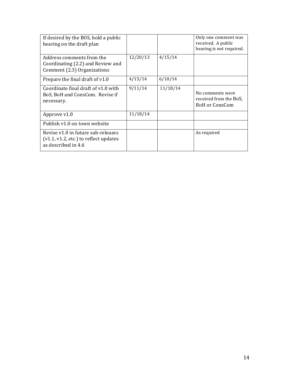| If desired by the BOS, hold a public<br>hearing on the draft plan                                    |          |          | Only one comment was<br>received. A public<br>hearing is not required. |
|------------------------------------------------------------------------------------------------------|----------|----------|------------------------------------------------------------------------|
| Address comments from the<br>Coordinating (2.2) and Review and<br>Comment (2.3) Organizations        | 12/20/13 | 4/15/14  |                                                                        |
| Prepare the final draft of v1.0                                                                      | 4/15/14  | 6/10/14  |                                                                        |
| Coordinate final draft of v1.0 with<br>BoS, BoH and ConsCom. Revise if<br>necessary.                 | 9/11/14  | 11/18/14 | No comments were<br>received from the BoS,<br><b>BoH</b> or ConsCom    |
| Approve v1.0                                                                                         | 11/18/14 |          |                                                                        |
| Publish v1.0 on town website                                                                         |          |          |                                                                        |
| Revise v1.0 in future sub-releases<br>$(v1.1, v1.2, etc.)$ to reflect updates<br>as described in 4.6 |          |          | As required                                                            |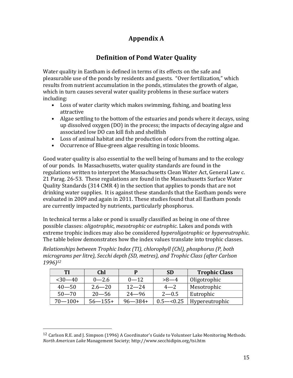# **Appendix A**

# **Definition of Pond Water Quality**

Water quality in Eastham is defined in terms of its effects on the safe and pleasurable use of the ponds by residents and guests. "Over fertilization," which results from nutrient accumulation in the ponds, stimulates the growth of algae, which in turn causes several water quality problems in these surface waters including:

- Loss of water clarity which makes swimming, fishing, and boating less attractive
- Algae settling to the bottom of the estuaries and ponds where it decays, using up dissolved oxygen (DO) in the process; the impacts of decaying algae and associated low DO can kill fish and shellfish
- Loss of animal habitat and the production of odors from the rotting algae.
- Occurrence of Blue-green algae resulting in toxic blooms.

Good water quality is also essential to the well being of humans and to the ecology of our ponds. In Massachusetts, water quality standards are found in the regulations written to interpret the Massachusetts Clean Water Act, General Law c. 21 Parag. 26-53. These regulations are found in the Massachusetts Surface Water Quality Standards (314 CMR 4) in the section that applies to ponds that are not drinking water supplies. It is against these standards that the Eastham ponds were evaluated in 2009 and again in 2011. These studies found that all Eastham ponds are currently impacted by nutrients, particularly phosphorus.

In technical terms a lake or pond is usually classified as being in one of three possible classes: *oligotrophic*, *mesotrophic* or *eutrophic*. Lakes and ponds with extreme trophic indices may also be considered *hyperoligotrophic* or *hypereutrophic*. The table below demonstrates how the index values translate into trophic classes.

*Relationships between Trophic Index (TI), chlorophyll (Chl), phosphorus (P, both* micrograms per litre), Secchi depth (SD, metres), and Trophic Class (after Carlson *1996)12*

| TI          | <b>Chl</b>   | P            | <b>SD</b>    | <b>Trophic Class</b> |
|-------------|--------------|--------------|--------------|----------------------|
| $30 - 40$   | $0 - 2.6$    | $0 - 12$     | $>8-4$       | Oligotrophic         |
| $40 - 50$   | $2.6 - 20$   | $12 - 24$    | $4 - 2$      | Mesotrophic          |
| $50 - 70$   | $20 - 56$    | $24 - 96$    | $2 - 0.5$    | Eutrophic            |
| $70 - 100+$ | $56 - 155 +$ | $96 - 384 +$ | $0.5 - 0.25$ | Hypereutrophic       |

 

<sup>&</sup>lt;sup>12</sup> Carlson R.E. and J. Simpson (1996) A Coordinator's Guide to Volunteer Lake Monitoring Methods. *North American Lake* Management Society; http://www.secchidipin.org/tsi.htm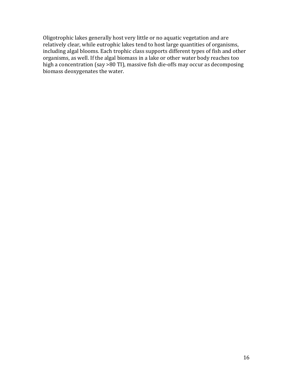Oligotrophic lakes generally host very little or no aquatic vegetation and are relatively clear, while eutrophic lakes tend to host large quantities of organisms, including algal blooms. Each trophic class supports different types of fish and other organisms, as well. If the algal biomass in a lake or other water body reaches too high a concentration (say >80 TI), massive fish die-offs may occur as decomposing biomass deoxygenates the water.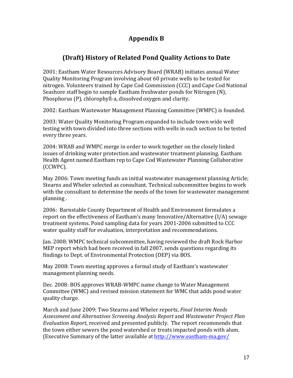# **Appendix B**

# **(Draft) History of Related Pond Quality Actions to Date**

2001: Eastham Water Resources Advisory Board (WRAB) initiates annual Water Quality Monitoring Program involving about 60 private wells to be tested for nitrogen. Volunteers trained by Cape Cod Commission (CCC) and Cape Cod National Seashore staff begin to sample Eastham freshwater ponds for Nitrogen (N), Phosphorus (P), chlorophyll-a, dissolved oxygen and clarity.

2002: Eastham Wastewater Management Planning Committee (WMPC) is founded.

2003: Water Quality Monitoring Program expanded to include town wide well testing with town divided into three sections with wells in each section to be tested every three years.

2004: WRAB and WMPC merge in order to work together on the closely linked issues of drinking water protection and wastewater treatment planning. Eastham Health Agent named Eastham rep to Cape Cod Wastewater Planning Collaborative (CCWPC).

May 2006: Town meeting funds an initial wastewater management planning Article; Stearns and Wheler selected as consultant. Technical subcommittee begins to work with the consultant to determine the needs of the town for wastewater management planning.

2006: Barnstable County Department of Health and Environment formulates a report on the effectiveness of Eastham's many Innovative/Alternative (I/A) sewage treatment systems. Pond sampling data for years 2001-2006 submitted to CCC water quality staff for evaluation, interpretation and recommendations.

Jan. 2008: WMPC technical subcommittee, having reviewed the draft Rock Harbor MEP report which had been received in fall 2007, sends questions regarding its findings to Dept. of Environmental Protection (DEP) via BOS.

May 2008: Town meeting approves a formal study of Eastham's wastewater management planning needs.

Dec. 2008: BOS approves WRAB-WMPC name change to Water Management Committee (WMC) and revised mission statement for WMC that adds pond water quality charge.

March and June 2009: Two Stearns and Wheler reports, *Final Interim Needs* Assessment and Alternatives Screening Analysis Report and Wastewater Project Plan *Evaluation Report,* received and presented publicly. The report recommends that the town either sewers the pond watershed or treats impacted ponds with alum. (Executive Summary of the latter available at http://www.eastham-ma.gov/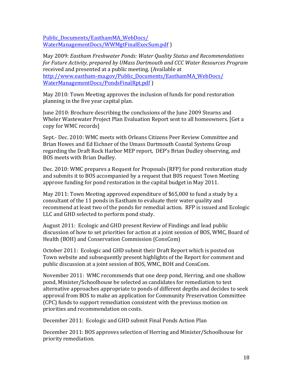Public\_Documents/EasthamMA\_WebDocs/ WaterManagementDocs/WWMgtFinalExecSum.pdf )

May 2009: *Eastham Freshwater Ponds: Water Quality Status and Recommendations* for Future Activity, prepared by UMass Dartmouth and CCC Water Resources Program received and presented at a public meeting. (Available at http://www.eastham-ma.gov/Public\_Documents/EasthamMA\_WebDocs/ WaterManagementDocs/PondsFinalRpt.pdf ) 

May 2010: Town Meeting approves the inclusion of funds for pond restoration planning in the five year capital plan.

June 2010: Brochure describing the conclusions of the June 2009 Stearns and Wheler Wastewater Project Plan Evaluation Report sent to all homeowners. [Get a copy for WMC records]

Sept.- Dec. 2010: WMC meets with Orleans Citizens Peer Review Committee and Brian Howes and Ed Eichner of the Umass Dartmouth Coastal Systems Group regarding the Draft Rock Harbor MEP report, DEP's Brian Dudley observing, and BOS meets with Brian Dudley.

Dec. 2010: WMC prepares a Request for Proposals (RFP) for pond restoration study and submits it to BOS accompanied by a request that B0S request Town Meeting approve funding for pond restoration in the capital budget in May 2011.

May 2011: Town Meeting approved expenditure of \$65,000 to fund a study by a consultant of the 11 ponds in Eastham to evaluate their water quality and recommend at least two of the ponds for remedial action. RFP is issued and Ecologic LLC and GHD selected to perform pond study.

August 2011: Ecologic and GHD present Review of Findings and lead public discussion of how to set priorities for action at a joint session of BOS, WMC, Board of Health (BOH) and Conservation Commission (ConsCom)

October 2011: Ecologic and GHD submit their Draft Report which is posted on Town website and subsequently present highlights of the Report for comment and public discussion at a joint session of BOS, WMC, BOH and ConsCom.

November 2011: WMC recommends that one deep pond, Herring, and one shallow pond, Minister/Schoolhouse be selected as candidates for remediation to test alternative approaches appropriate to ponds of different depths and decides to seek approval from BOS to make an application for Community Preservation Committee (CPC) funds to support remediation consistent with the previous motion on priorities and recommendation on costs.

December 2011: Ecologic and GHD submit Final Ponds Action Plan

December 2011: BOS approves selection of Herring and Minister/Schoolhouse for priority remediation.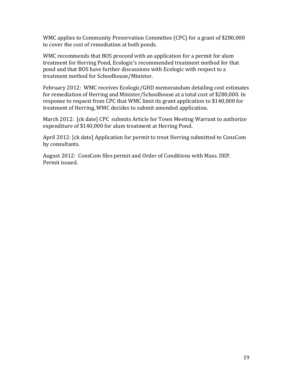WMC applies to Community Preservation Committee (CPC) for a grant of \$280,000 to cover the cost of remediation at both ponds.

WMC recommends that BOS proceed with an application for a permit for alum treatment for Herring Pond, Ecologic's recommended treatment method for that pond and that BOS have further discussions with Ecologic with respect to a treatment method for Schoolhouse/Minister.

February 2012: WMC receives Ecologic/GHD memorandum detailing cost estimates for remediation of Herring and Minister/Schoolhouse at a total cost of \$280,000. In response to request from CPC that WMC limit its grant application to \$140,000 for treatment of Herring, WMC decides to submit amended application.

March 2012: [ck date] CPC submits Article for Town Meeting Warrant to authorize expenditure of \$140,000 for alum treatment at Herring Pond.

April 2012: [ck date] Application for permit to treat Herring submitted to ConsCom by consultants.

August 2012: ConsCom files permit and Order of Conditions with Mass. DEP. Permit issued.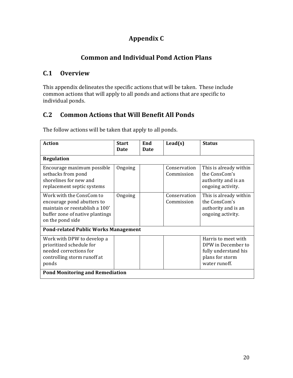# **Appendix C**

# **Common and Individual Pond Action Plans**

# **C.1 Overview**

This appendix delineates the specific actions that will be taken. These include common actions that will apply to all ponds and actions that are specific to individual ponds.

# **C.2 Common Actions that Will Benefit All Ponds**

The follow actions will be taken that apply to all ponds.

| <b>Action</b>                                                                                                                                   | <b>Start</b><br><b>Date</b> | End<br>Date | $\text{Lead}(s)$           | <b>Status</b>                                                                                         |
|-------------------------------------------------------------------------------------------------------------------------------------------------|-----------------------------|-------------|----------------------------|-------------------------------------------------------------------------------------------------------|
| <b>Regulation</b>                                                                                                                               |                             |             |                            |                                                                                                       |
| Encourage maximum possible<br>setbacks from pond<br>shorelines for new and<br>replacement septic systems                                        | Ongoing                     |             | Conservation<br>Commission | This is already within<br>the ConsCom's<br>authority and is an<br>ongoing activity.                   |
| Work with the ConsCom to<br>encourage pond abutters to<br>maintain or reestablish a 100'<br>buffer zone of native plantings<br>on the pond side | Ongoing                     |             | Conservation<br>Commission | This is already within<br>the ConsCom's<br>authority and is an<br>ongoing activity.                   |
| <b>Pond-related Public Works Management</b>                                                                                                     |                             |             |                            |                                                                                                       |
| Work with DPW to develop a<br>prioritized schedule for<br>needed corrections for<br>controlling storm runoff at<br>ponds                        |                             |             |                            | Harris to meet with<br>DPW in December to<br>fully understand his<br>plans for storm<br>water runoff. |
| <b>Pond Monitoring and Remediation</b>                                                                                                          |                             |             |                            |                                                                                                       |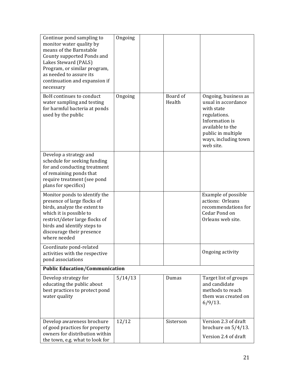| Continue pond sampling to<br>monitor water quality by<br>means of the Barnstable<br>County supported Ponds and<br>Lakes Steward (PALS)<br>Program, or similar program,<br>as needed to assure its<br>continuation and expansion if<br>necessary | Ongoing |                    |                                                                                                                                                                            |
|-------------------------------------------------------------------------------------------------------------------------------------------------------------------------------------------------------------------------------------------------|---------|--------------------|----------------------------------------------------------------------------------------------------------------------------------------------------------------------------|
| BoH continues to conduct<br>water sampling and testing<br>for harmful bacteria at ponds<br>used by the public                                                                                                                                   | Ongoing | Board of<br>Health | Ongoing, business as<br>usual in accordance<br>with state<br>regulations.<br>Information is<br>available to the<br>public in multiple<br>ways, including town<br>web site. |
| Develop a strategy and<br>schedule for seeking funding<br>for and conducting treatment<br>of remaining ponds that<br>require treatment (see pond<br>plans for specifics)                                                                        |         |                    |                                                                                                                                                                            |
| Monitor ponds to identify the<br>presence of large flocks of<br>birds, analyze the extent to<br>which it is possible to<br>restrict/deter large flocks of<br>birds and identify steps to<br>discourage their presence<br>where needed           |         |                    | Example of possible<br>actions: Orleans<br>recommendations for<br>Cedar Pond on<br>Orleans web site.                                                                       |
| Coordinate pond-related<br>activities with the respective<br>pond associations                                                                                                                                                                  |         |                    | Ongoing activity                                                                                                                                                           |
| <b>Public Education/Communication</b>                                                                                                                                                                                                           |         |                    |                                                                                                                                                                            |
| Develop strategy for<br>educating the public about<br>best practices to protect pond<br>water quality                                                                                                                                           | 5/14/13 | Dumas              | Target list of groups<br>and candidate<br>methods to reach<br>them was created on<br>$6/9/13$ .                                                                            |
| Develop awareness brochure<br>of good practices for property<br>owners for distribution within<br>the town, e.g. what to look for                                                                                                               | 12/12   | Sisterson          | Version 2.3 of draft<br>brochure on $5/4/13$ .<br>Version 2.4 of draft                                                                                                     |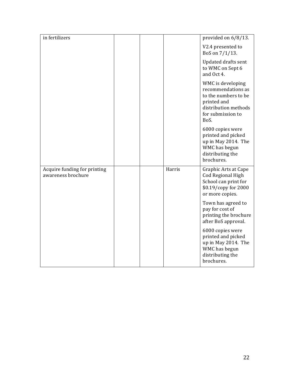| in fertilizers                                     |  |        | provided on 6/8/13.                                                                                                                 |
|----------------------------------------------------|--|--------|-------------------------------------------------------------------------------------------------------------------------------------|
|                                                    |  |        | V2.4 presented to<br>BoS on 7/1/13.                                                                                                 |
|                                                    |  |        | Updated drafts sent<br>to WMC on Sept 6<br>and Oct 4.                                                                               |
|                                                    |  |        | WMC is developing<br>recommendations as<br>to the numbers to be<br>printed and<br>distribution methods<br>for submission to<br>BoS. |
|                                                    |  |        | 6000 copies were<br>printed and picked<br>up in May 2014. The<br>WMC has begun<br>distributing the<br>brochures.                    |
| Acquire funding for printing<br>awareness brochure |  | Harris | Graphic Arts at Cape<br>Cod Regional High<br>School can print for<br>\$0.19/copy for 2000<br>or more copies.                        |
|                                                    |  |        | Town has agreed to<br>pay for cost of<br>printing the brochure<br>after BoS approval.                                               |
|                                                    |  |        | 6000 copies were<br>printed and picked<br>up in May 2014. The<br>WMC has begun<br>distributing the<br>brochures.                    |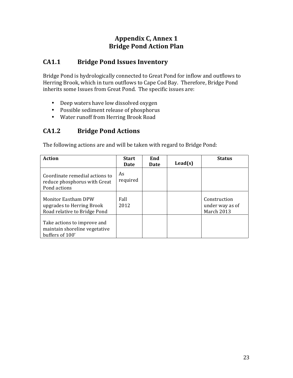# **Appendix C, Annex 1 Bridge Pond Action Plan**

## **CA1.1 Bridge Pond Issues Inventory**

Bridge Pond is hydrologically connected to Great Pond for inflow and outflows to Herring Brook, which in turn outflows to Cape Cod Bay. Therefore, Bridge Pond inherits some Issues from Great Pond. The specific issues are:

- Deep waters have low dissolved oxygen
- Possible sediment release of phosphorus
- Water runoff from Herring Brook Road

#### **CA1.2 Bridge Pond Actions**

The following actions are and will be taken with regard to Bridge Pond:

| <b>Action</b>                                                                           | <b>Start</b><br><b>Date</b> | End<br>Date | $\text{Lead}(s)$ | <b>Status</b>                                 |
|-----------------------------------------------------------------------------------------|-----------------------------|-------------|------------------|-----------------------------------------------|
| Coordinate remedial actions to<br>reduce phosphorus with Great<br>Pond actions          | As<br>required              |             |                  |                                               |
| <b>Monitor Eastham DPW</b><br>upgrades to Herring Brook<br>Road relative to Bridge Pond | Fall<br>2012                |             |                  | Construction<br>under way as of<br>March 2013 |
| Take actions to improve and<br>maintain shoreline vegetative<br>buffers of 100'         |                             |             |                  |                                               |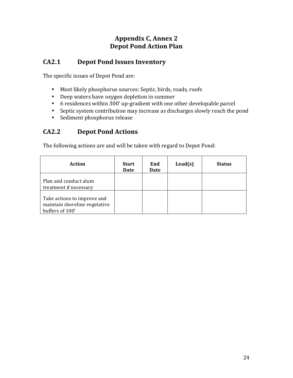# **Appendix C, Annex 2 Depot Pond Action Plan**

#### **CA2.1 Depot Pond Issues Inventory**

The specific issues of Depot Pond are:

- Most likely phosphorus sources: Septic, birds, roads, roofs
- Deep waters have oxygen depletion in summer
- 6 residences within 300' up-gradient with one other developable parcel
- Septic system contribution may increase as discharges slowly reach the pond
- Sediment phosphorus release

## **CA2.2 Depot Pond Actions**

The following actions are and will be taken with regard to Depot Pond:

| <b>Action</b>                                                                   | <b>Start</b><br>Date | End<br>Date | $\text{Lead}(s)$ | <b>Status</b> |
|---------------------------------------------------------------------------------|----------------------|-------------|------------------|---------------|
| Plan and conduct alum<br>treatment if necessary                                 |                      |             |                  |               |
| Take actions to improve and<br>maintain shoreline vegetative<br>buffers of 100' |                      |             |                  |               |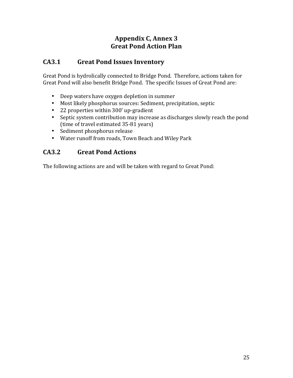# **Appendix C, Annex 3 Great Pond Action Plan**

# **CA3.1 Great Pond Issues Inventory**

Great Pond is hydrolically connected to Bridge Pond. Therefore, actions taken for Great Pond will also benefit Bridge Pond. The specific Issues of Great Pond are:

- Deep waters have oxygen depletion in summer
- Most likely phosphorus sources: Sediment, precipitation, septic
- 22 properties within 300' up-gradient
- Septic system contribution may increase as discharges slowly reach the pond (time of travel estimated 35-81 years)
- Sediment phosphorus release
- Water runoff from roads, Town Beach and Wiley Park

## **CA3.2 Great Pond Actions**

The following actions are and will be taken with regard to Great Pond: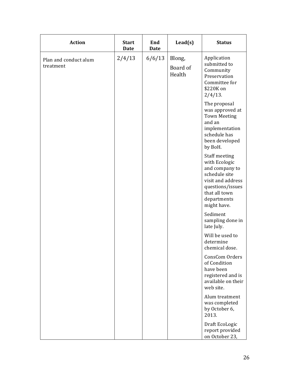| <b>Action</b>                      | <b>Start</b><br><b>Date</b> | End<br><b>Date</b> | $\text{Lead}(s)$             | <b>Status</b>                                                                                                                                             |
|------------------------------------|-----------------------------|--------------------|------------------------------|-----------------------------------------------------------------------------------------------------------------------------------------------------------|
| Plan and conduct alum<br>treatment | 2/4/13                      | 6/6/13             | Blong,<br>Board of<br>Health | Application<br>submitted to<br>Community<br>Preservation<br>Committee for<br>\$220K on<br>$2/4/13$ .                                                      |
|                                    |                             |                    |                              | The proposal<br>was approved at<br><b>Town Meeting</b><br>and an<br>implementation<br>schedule has<br>been developed<br>by BoH.                           |
|                                    |                             |                    |                              | Staff meeting<br>with Ecologic<br>and company to<br>schedule site<br>visit and address<br>questions/issues<br>that all town<br>departments<br>might have. |
|                                    |                             |                    |                              | Sediment<br>sampling done in<br>late July.                                                                                                                |
|                                    |                             |                    |                              | Will be used to<br>determine<br>chemical dose.                                                                                                            |
|                                    |                             |                    |                              | ConsCom Orders<br>of Condition<br>have been<br>registered and is<br>available on their<br>web site.                                                       |
|                                    |                             |                    |                              | Alum treatment<br>was completed<br>by October 6,<br>2013.                                                                                                 |
|                                    |                             |                    |                              | Draft EcoLogic<br>report provided<br>on October 23,                                                                                                       |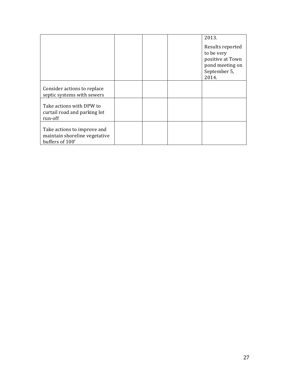|                                                                                 |  | 2013.<br>Results reported<br>to be very<br>positive at Town<br>pond meeting on<br>September 5,<br>2014. |
|---------------------------------------------------------------------------------|--|---------------------------------------------------------------------------------------------------------|
| Consider actions to replace<br>septic systems with sewers                       |  |                                                                                                         |
| Take actions with DPW to<br>curtail road and parking lot<br>run-off             |  |                                                                                                         |
| Take actions to improve and<br>maintain shoreline vegetative<br>buffers of 100' |  |                                                                                                         |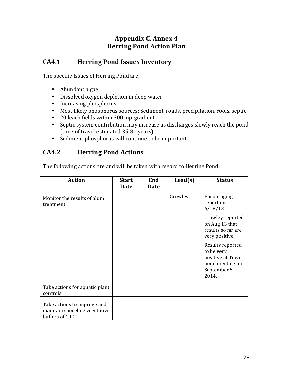# **Appendix C, Annex 4 Herring Pond Action Plan**

#### **CA4.1 Herring Pond Issues Inventory**

The specific Issues of Herring Pond are:

- Abundant algae
- Dissolved oxygen depletion in deep water
- Increasing phosphorus
- Most likely phosphorus sources: Sediment, roads, precipitation, roofs, septic
- 20 leach fields within 300' up-gradient
- Septic system contribution may increase as discharges slowly reach the pond (time of travel estimated 35-81 years)
- Sediment phosphorus will continue to be important

#### **CA4.2 Herring Pond Actions**

The following actions are and will be taken with regard to Herring Pond:

| <b>Action</b>                                                                   | <b>Start</b> | End         | $\text{lead}(s)$ | <b>Status</b>                                                                                  |
|---------------------------------------------------------------------------------|--------------|-------------|------------------|------------------------------------------------------------------------------------------------|
|                                                                                 | <b>Date</b>  | <b>Date</b> |                  |                                                                                                |
| Monitor the results of alum<br>treatment                                        |              |             | Crowley          | Encouraging<br>report on<br>6/18/13                                                            |
|                                                                                 |              |             |                  | Crowley reported<br>on Aug 13 that<br>results so far are<br>very positive.                     |
|                                                                                 |              |             |                  | Results reported<br>to be very<br>positive at Town<br>pond meeting on<br>September 5.<br>2014. |
| Take actions for aquatic plant<br>controls                                      |              |             |                  |                                                                                                |
| Take actions to improve and<br>maintain shoreline vegetative<br>buffers of 100' |              |             |                  |                                                                                                |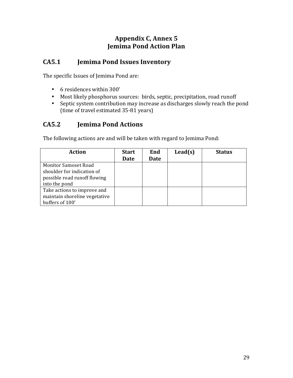# **Appendix C, Annex 5 Jemima Pond Action Plan**

# **CA5.1 Jemima Pond Issues Inventory**

The specific Issues of Jemima Pond are:

- 6 residences within 300'
- Most likely phosphorus sources: birds, septic, precipitation, road runoff
- Septic system contribution may increase as discharges slowly reach the pond (time of travel estimated 35-81 years)

## **CA5.2 Jemima Pond Actions**

The following actions are and will be taken with regard to Jemima Pond:

| <b>Action</b>                 | <b>Start</b> | End  | $\text{lead}(s)$ | <b>Status</b> |
|-------------------------------|--------------|------|------------------|---------------|
|                               | Date         | Date |                  |               |
| <b>Monitor Samoset Road</b>   |              |      |                  |               |
| shoulder for indication of    |              |      |                  |               |
| possible road runoff flowing  |              |      |                  |               |
| into the pond                 |              |      |                  |               |
| Take actions to improve and   |              |      |                  |               |
| maintain shoreline vegetative |              |      |                  |               |
| buffers of 100'               |              |      |                  |               |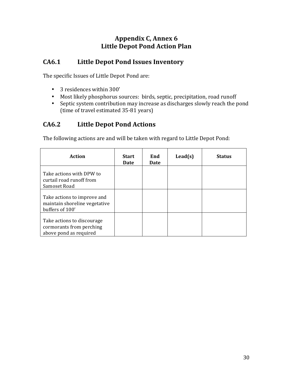# **Appendix C, Annex 6 Little Depot Pond Action Plan**

# **CA6.1 Little Depot Pond Issues Inventory**

The specific Issues of Little Depot Pond are:

- 3 residences within 300'
- Most likely phosphorus sources: birds, septic, precipitation, road runoff
- Septic system contribution may increase as discharges slowly reach the pond (time of travel estimated 35-81 years)

## **CA6.2 Little Depot Pond Actions**

The following actions are and will be taken with regard to Little Depot Pond:

| <b>Action</b>                                                                    | <b>Start</b><br>Date | End<br>Date | $\text{lead}(s)$ | <b>Status</b> |
|----------------------------------------------------------------------------------|----------------------|-------------|------------------|---------------|
| Take actions with DPW to<br>curtail road runoff from<br>Samoset Road             |                      |             |                  |               |
| Take actions to improve and<br>maintain shoreline vegetative<br>buffers of 100'  |                      |             |                  |               |
| Take actions to discourage<br>cormorants from perching<br>above pond as required |                      |             |                  |               |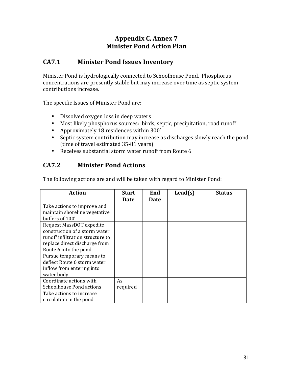#### **Appendix C, Annex 7 Minister Pond Action Plan**

#### **CA7.1 Minister Pond Issues Inventory**

Minister Pond is hydrologically connected to Schoolhouse Pond. Phosphorus concentrations are presently stable but may increase over time as septic system contributions increase.

The specific Issues of Minister Pond are:

- Dissolved oxygen loss in deep waters
- Most likely phosphorus sources: birds, septic, precipitation, road runoff
- Approximately 18 residences within 300'
- Septic system contribution may increase as discharges slowly reach the pond (time of travel estimated 35-81 years)
- Receives substantial storm water runoff from Route 6

#### **CA7.2 Minister Pond Actions**

The following actions are and will be taken with regard to Minister Pond:

| <b>Action</b>                                                                                                                                           | <b>Start</b>   | End  | $\text{lead}(s)$ | <b>Status</b> |
|---------------------------------------------------------------------------------------------------------------------------------------------------------|----------------|------|------------------|---------------|
|                                                                                                                                                         | <b>Date</b>    | Date |                  |               |
| Take actions to improve and<br>maintain shoreline vegetative<br>buffers of 100'                                                                         |                |      |                  |               |
| Request MassDOT expedite<br>construction of a storm water<br>runoff infiltration structure to<br>replace direct discharge from<br>Route 6 into the pond |                |      |                  |               |
| Pursue temporary means to<br>deflect Route 6 storm water<br>inflow from entering into<br>water body                                                     |                |      |                  |               |
| Coordinate actions with<br>Schoolhouse Pond actions                                                                                                     | As<br>required |      |                  |               |
| Take actions to increase<br>circulation in the pond                                                                                                     |                |      |                  |               |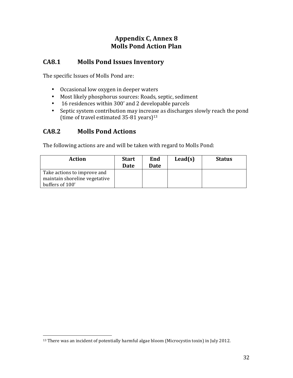# **Appendix C, Annex 8 Molls Pond Action Plan**

#### **CA8.1 Molls Pond Issues Inventory**

The specific Issues of Molls Pond are:

- Occasional low oxygen in deeper waters
- Most likely phosphorus sources: Roads, septic, sediment
- 16 residences within 300' and 2 developable parcels
- Septic system contribution may increase as discharges slowly reach the pond (time of travel estimated  $35-81$  years)<sup>13</sup>

#### **CA8.2 Molls Pond Actions**

 

The following actions are and will be taken with regard to Molls Pond:

| <b>Action</b>                                                | <b>Start</b><br>Date | End<br>Date | $\text{Lead}(s)$ | <b>Status</b> |
|--------------------------------------------------------------|----------------------|-------------|------------------|---------------|
| Take actions to improve and<br>maintain shoreline vegetative |                      |             |                  |               |
| buffers of 100'                                              |                      |             |                  |               |

<sup>&</sup>lt;sup>13</sup> There was an incident of potentially harmful algae bloom (Microcystin toxin) in July 2012.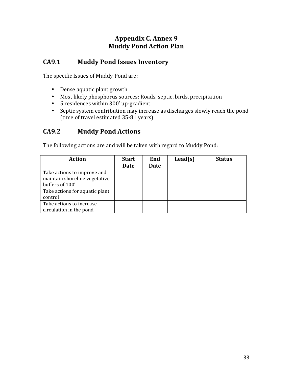# Appendix C, Annex 9 **Muddy Pond Action Plan**

#### **CA9.1 Muddy Pond Issues Inventory**

The specific Issues of Muddy Pond are:

- Dense aquatic plant growth
- Most likely phosphorus sources: Roads, septic, birds, precipitation
- 5 residences within 300' up-gradient
- Septic system contribution may increase as discharges slowly reach the pond (time of travel estimated 35-81 years)

#### **CA9.2 Muddy Pond Actions**

The following actions are and will be taken with regard to Muddy Pond:

| <b>Action</b>                  | <b>Start</b> | End  | $\text{lead}(s)$ | <b>Status</b> |
|--------------------------------|--------------|------|------------------|---------------|
|                                | Date         | Date |                  |               |
| Take actions to improve and    |              |      |                  |               |
| maintain shoreline vegetative  |              |      |                  |               |
| buffers of 100'                |              |      |                  |               |
| Take actions for aquatic plant |              |      |                  |               |
| control                        |              |      |                  |               |
| Take actions to increase       |              |      |                  |               |
| circulation in the pond        |              |      |                  |               |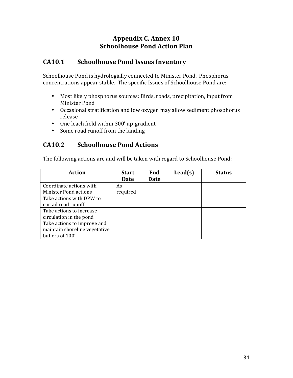# **Appendix C, Annex 10 Schoolhouse Pond Action Plan**

#### **CA10.1 Schoolhouse Pond Issues Inventory**

Schoolhouse Pond is hydrologially connected to Minister Pond. Phosphorus concentrations appear stable. The specific Issues of Schoolhouse Pond are:

- Most likely phosphorus sources: Birds, roads, precipitation, input from Minister Pond
- Occasional stratification and low oxygen may allow sediment phosphorus release
- One leach field within 300' up-gradient
- Some road runoff from the landing

#### **CA10.2 Schoolhouse Pond Actions**

The following actions are and will be taken with regard to Schoolhouse Pond:

| <b>Action</b>                 | <b>Start</b> | End  | $\text{lead}(s)$ | <b>Status</b> |
|-------------------------------|--------------|------|------------------|---------------|
|                               | <b>Date</b>  | Date |                  |               |
| Coordinate actions with       | As           |      |                  |               |
| <b>Minister Pond actions</b>  | required     |      |                  |               |
| Take actions with DPW to      |              |      |                  |               |
| curtail road runoff           |              |      |                  |               |
| Take actions to increase      |              |      |                  |               |
| circulation in the pond       |              |      |                  |               |
| Take actions to improve and   |              |      |                  |               |
| maintain shoreline vegetative |              |      |                  |               |
| buffers of 100'               |              |      |                  |               |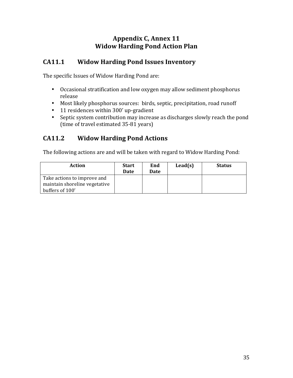# Appendix C, Annex 11 **Widow Harding Pond Action Plan**

# **CA11.1 Widow Harding Pond Issues Inventory**

The specific Issues of Widow Harding Pond are:

- Occasional stratification and low oxygen may allow sediment phosphorus release
- Most likely phosphorus sources: birds, septic, precipitation, road runoff
- 11 residences within 300' up-gradient
- Septic system contribution may increase as discharges slowly reach the pond (time of travel estimated 35-81 years)

# **CA11.2 Widow Harding Pond Actions**

The following actions are and will be taken with regard to Widow Harding Pond:

| Action                                                                          | <b>Start</b><br>Date | End<br>Date | $\text{Lead}(s)$ | <b>Status</b> |
|---------------------------------------------------------------------------------|----------------------|-------------|------------------|---------------|
| Take actions to improve and<br>maintain shoreline vegetative<br>buffers of 100' |                      |             |                  |               |